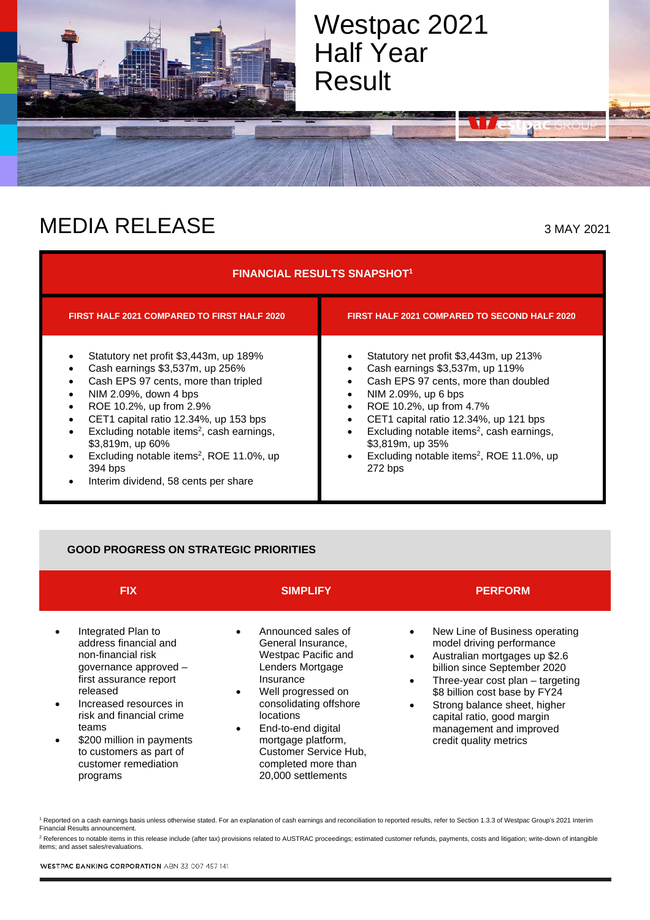

## MEDIA RELEASE 3 MAY 2021

| <b>FINANCIAL RESULTS SNAPSHOT1</b>                                                                                                                                                                                                                                                                                                                                                                                            |                                                                                                                                                                                                                                                                                                                                                                                                       |  |  |  |
|-------------------------------------------------------------------------------------------------------------------------------------------------------------------------------------------------------------------------------------------------------------------------------------------------------------------------------------------------------------------------------------------------------------------------------|-------------------------------------------------------------------------------------------------------------------------------------------------------------------------------------------------------------------------------------------------------------------------------------------------------------------------------------------------------------------------------------------------------|--|--|--|
| <b>FIRST HALF 2021 COMPARED TO FIRST HALF 2020</b>                                                                                                                                                                                                                                                                                                                                                                            | <b>FIRST HALF 2021 COMPARED TO SECOND HALF 2020</b>                                                                                                                                                                                                                                                                                                                                                   |  |  |  |
| Statutory net profit \$3,443m, up 189%<br>Cash earnings \$3,537m, up 256%<br>Cash EPS 97 cents, more than tripled<br>NIM 2.09%, down 4 bps<br>٠<br>ROE 10.2%, up from 2.9%<br>٠<br>CET1 capital ratio 12.34%, up 153 bps<br>Excluding notable items <sup>2</sup> , cash earnings,<br>\$3,819m, up 60%<br>Excluding notable items <sup>2</sup> , ROE 11.0%, up<br>394 bps<br>Interim dividend, 58 cents per share<br>$\bullet$ | Statutory net profit \$3,443m, up 213%<br>Cash earnings \$3,537m, up 119%<br>Cash EPS 97 cents, more than doubled<br>NIM 2.09%, up 6 bps<br>$\bullet$<br>ROE 10.2%, up from 4.7%<br>٠<br>CET1 capital ratio 12.34%, up 121 bps<br>٠<br>Excluding notable items <sup>2</sup> , cash earnings,<br>٠<br>\$3,819m, up 35%<br>Excluding notable items <sup>2</sup> , ROE 11.0%, up<br>$\bullet$<br>272 bps |  |  |  |

### **GOOD PROGRESS ON STRATEGIC PRIORITIES**

| <b>FIX</b>                                                                                                                                                                                                                                                                                  | <b>SIMPLIFY</b>                                                                                                                                                                                                                                                                                                  | <b>PERFORM</b>                                                                                                                                                                                                                                                                                                                    |
|---------------------------------------------------------------------------------------------------------------------------------------------------------------------------------------------------------------------------------------------------------------------------------------------|------------------------------------------------------------------------------------------------------------------------------------------------------------------------------------------------------------------------------------------------------------------------------------------------------------------|-----------------------------------------------------------------------------------------------------------------------------------------------------------------------------------------------------------------------------------------------------------------------------------------------------------------------------------|
| Integrated Plan to<br>address financial and<br>non-financial risk<br>governance approved -<br>first assurance report<br>released<br>Increased resources in<br>risk and financial crime<br>teams<br>\$200 million in payments<br>to customers as part of<br>customer remediation<br>programs | Announced sales of<br>General Insurance,<br>Westpac Pacific and<br>Lenders Mortgage<br>Insurance<br>Well progressed on<br>$\bullet$<br>consolidating offshore<br><i>locations</i><br>End-to-end digital<br>$\bullet$<br>mortgage platform,<br>Customer Service Hub,<br>completed more than<br>20,000 settlements | New Line of Business operating<br>model driving performance<br>Australian mortgages up \$2.6<br>billion since September 2020<br>Three-year cost plan - targeting<br>\$8 billion cost base by FY24<br>Strong balance sheet, higher<br>$\bullet$<br>capital ratio, good margin<br>management and improved<br>credit quality metrics |

<sup>1</sup> Reported on a cash earnings basis unless otherwise stated. For an explanation of cash earnings and reconciliation to reported results, refer to Section 1.3.3 of Westpac Group's 2021 Interim Financial Results announcement.

<sup>2</sup> References to notable items in this release include (after tax) provisions related to AUSTRAC proceedings; estimated customer refunds, payments, costs and litigation; write-down of intangible<br>items; and asset sales/rev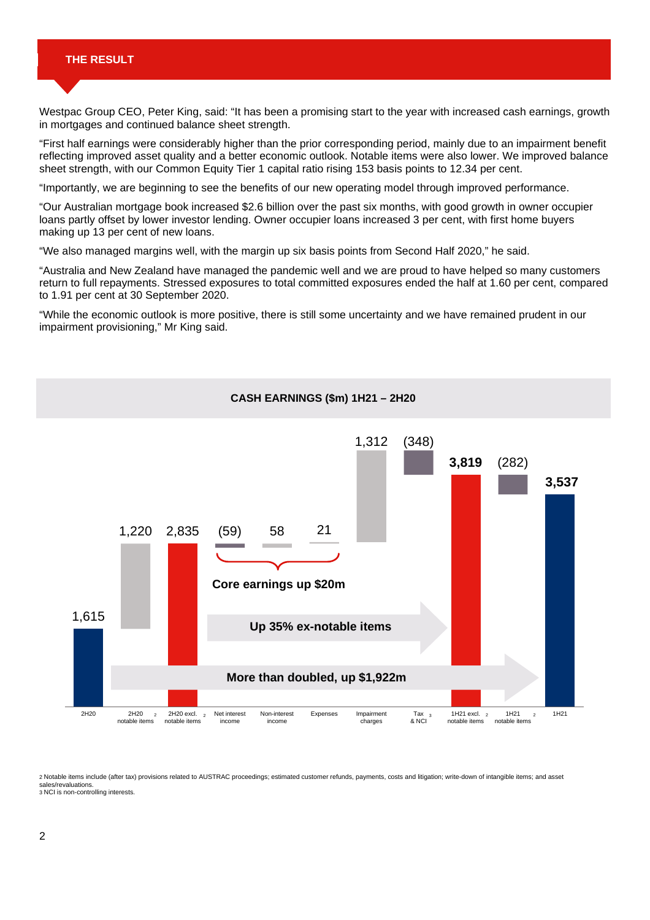#### **THE RESULT**

Westpac Group CEO, Peter King, said: "It has been a promising start to the year with increased cash earnings, growth in mortgages and continued balance sheet strength.

"First half earnings were considerably higher than the prior corresponding period, mainly due to an impairment benefit reflecting improved asset quality and a better economic outlook. Notable items were also lower. We improved balance sheet strength, with our Common Equity Tier 1 capital ratio rising 153 basis points to 12.34 per cent.

"Importantly, we are beginning to see the benefits of our new operating model through improved performance.

"Our Australian mortgage book increased \$2.6 billion over the past six months, with good growth in owner occupier loans partly offset by lower investor lending. Owner occupier loans increased 3 per cent, with first home buyers making up 13 per cent of new loans.

"We also managed margins well, with the margin up six basis points from Second Half 2020," he said.

"Australia and New Zealand have managed the pandemic well and we are proud to have helped so many customers return to full repayments. Stressed exposures to total committed exposures ended the half at 1.60 per cent, compared to 1.91 per cent at 30 September 2020.

"While the economic outlook is more positive, there is still some uncertainty and we have remained prudent in our impairment provisioning," Mr King said.



2 Notable items include (after tax) provisions related to AUSTRAC proceedings; estimated customer refunds, payments, costs and litigation; write-down of intangible items; and asset sales/revaluations. 3 NCI is non-controlling interests.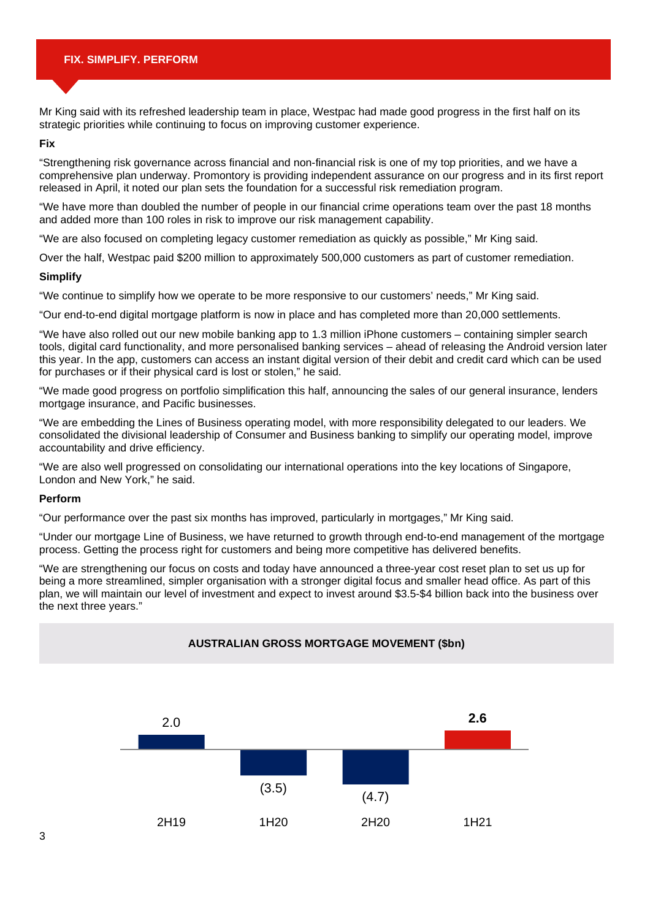Mr King said with its refreshed leadership team in place, Westpac had made good progress in the first half on its strategic priorities while continuing to focus on improving customer experience.

#### **Fix**

"Strengthening risk governance across financial and non-financial risk is one of my top priorities, and we have a comprehensive plan underway. Promontory is providing independent assurance on our progress and in its first report released in April, it noted our plan sets the foundation for a successful risk remediation program.

"We have more than doubled the number of people in our financial crime operations team over the past 18 months and added more than 100 roles in risk to improve our risk management capability.

"We are also focused on completing legacy customer remediation as quickly as possible," Mr King said.

Over the half, Westpac paid \$200 million to approximately 500,000 customers as part of customer remediation.

#### **Simplify**

"We continue to simplify how we operate to be more responsive to our customers' needs," Mr King said.

"Our end-to-end digital mortgage platform is now in place and has completed more than 20,000 settlements.

"We have also rolled out our new mobile banking app to 1.3 million iPhone customers – containing simpler search tools, digital card functionality, and more personalised banking services – ahead of releasing the Android version later this year. In the app, customers can access an instant digital version of their debit and credit card which can be used for purchases or if their physical card is lost or stolen," he said.

"We made good progress on portfolio simplification this half, announcing the sales of our general insurance, lenders mortgage insurance, and Pacific businesses.

"We are embedding the Lines of Business operating model, with more responsibility delegated to our leaders. We consolidated the divisional leadership of Consumer and Business banking to simplify our operating model, improve accountability and drive efficiency.

"We are also well progressed on consolidating our international operations into the key locations of Singapore, London and New York," he said.

#### **Perform**

"Our performance over the past six months has improved, particularly in mortgages," Mr King said.

"Under our mortgage Line of Business, we have returned to growth through end-to-end management of the mortgage process. Getting the process right for customers and being more competitive has delivered benefits.

"We are strengthening our focus on costs and today have announced a three-year cost reset plan to set us up for being a more streamlined, simpler organisation with a stronger digital focus and smaller head office. As part of this plan, we will maintain our level of investment and expect to invest around \$3.5-\$4 billion back into the business over the next three years."

# 2.0  $(3.5)$   $(4.7)$ **2.6** 2H19 1H20 2H20 1H21 **AUSTRALIAN GROSS MORTGAGE MOVEMENT (\$bn)**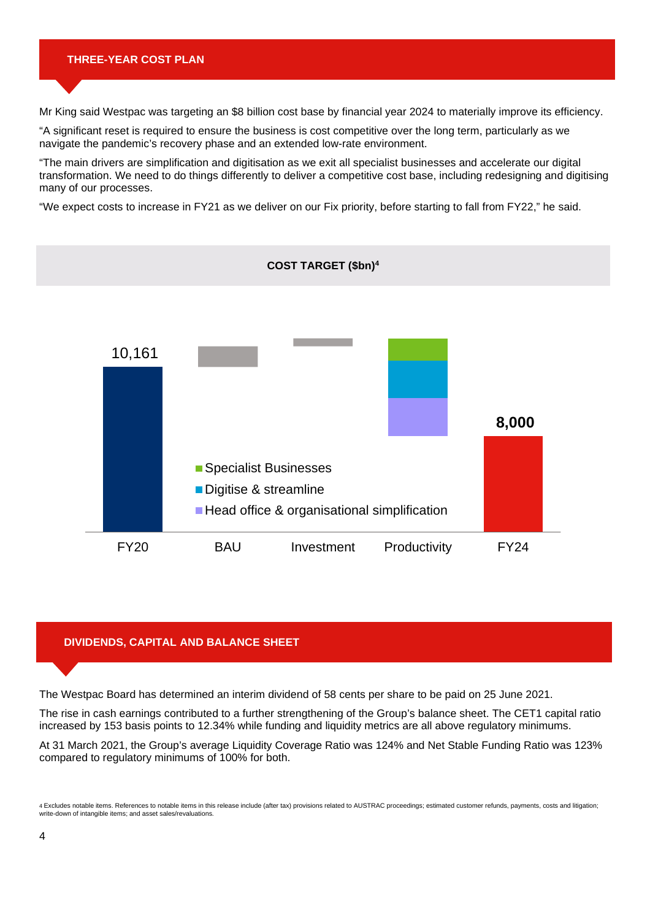#### **THREE-YEAR COST PLAN**

Mr King said Westpac was targeting an \$8 billion cost base by financial year 2024 to materially improve its efficiency.

"A significant reset is required to ensure the business is cost competitive over the long term, particularly as we navigate the pandemic's recovery phase and an extended low-rate environment.

"The main drivers are simplification and digitisation as we exit all specialist businesses and accelerate our digital transformation. We need to do things differently to deliver a competitive cost base, including redesigning and digitising many of our processes.

"We expect costs to increase in FY21 as we deliver on our Fix priority, before starting to fall from FY22," he said.



#### **DIVIDENDS, CAPITAL AND BALANCE SHEET**

The Westpac Board has determined an interim dividend of 58 cents per share to be paid on 25 June 2021.

The rise in cash earnings contributed to a further strengthening of the Group's balance sheet. The CET1 capital ratio increased by 153 basis points to 12.34% while funding and liquidity metrics are all above regulatory minimums.

At 31 March 2021, the Group's average Liquidity Coverage Ratio was 124% and Net Stable Funding Ratio was 123% compared to regulatory minimums of 100% for both.

<sup>4</sup> Excludes notable items. References to notable items in this release include (after tax) provisions related to AUSTRAC proceedings; estimated customer refunds, payments, costs and litigation; write-down of intangible items; and asset sales/revaluations.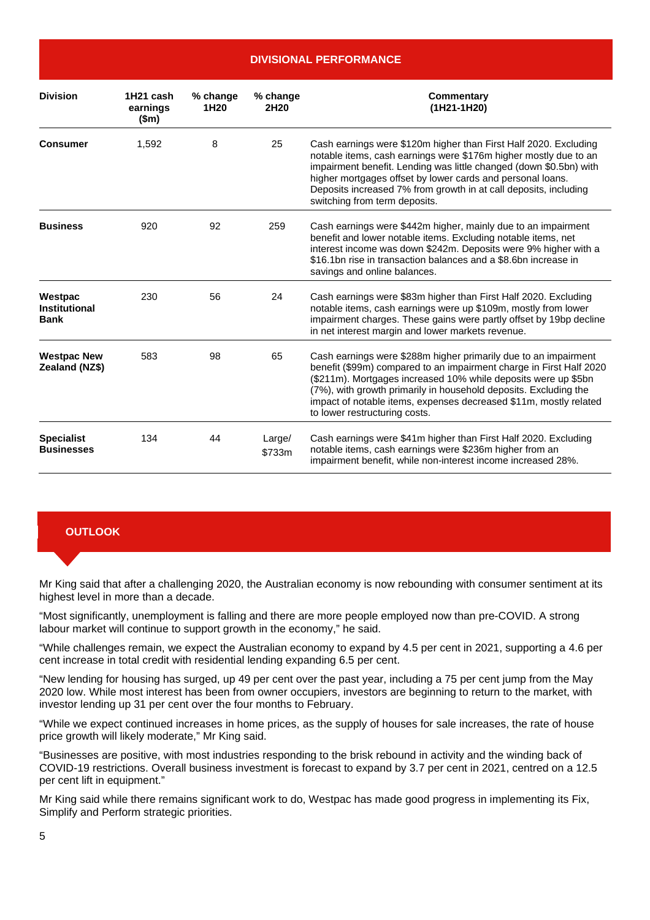**DIVISIONAL PERFORMANCE**

| <b>Division</b>                                | 1H21 cash<br>earnings<br>\$m\$ | % change<br>1H <sub>20</sub> | % change<br>2H <sub>20</sub> | Commentary<br>(1H21-1H20)                                                                                                                                                                                                                                                                                                                                                          |
|------------------------------------------------|--------------------------------|------------------------------|------------------------------|------------------------------------------------------------------------------------------------------------------------------------------------------------------------------------------------------------------------------------------------------------------------------------------------------------------------------------------------------------------------------------|
| <b>Consumer</b>                                | 1,592                          | 8                            | 25                           | Cash earnings were \$120m higher than First Half 2020. Excluding<br>notable items, cash earnings were \$176m higher mostly due to an<br>impairment benefit. Lending was little changed (down \$0.5bn) with<br>higher mortgages offset by lower cards and personal loans.<br>Deposits increased 7% from growth in at call deposits, including<br>switching from term deposits.      |
| <b>Business</b>                                | 920                            | 92                           | 259                          | Cash earnings were \$442m higher, mainly due to an impairment<br>benefit and lower notable items. Excluding notable items, net<br>interest income was down \$242m. Deposits were 9% higher with a<br>\$16.1bn rise in transaction balances and a \$8.6bn increase in<br>savings and online balances.                                                                               |
| Westpac<br><b>Institutional</b><br><b>Bank</b> | 230                            | 56                           | 24                           | Cash earnings were \$83m higher than First Half 2020. Excluding<br>notable items, cash earnings were up \$109m, mostly from lower<br>impairment charges. These gains were partly offset by 19bp decline<br>in net interest margin and lower markets revenue.                                                                                                                       |
| <b>Westpac New</b><br>Zealand (NZ\$)           | 583                            | 98                           | 65                           | Cash earnings were \$288m higher primarily due to an impairment<br>benefit (\$99m) compared to an impairment charge in First Half 2020<br>(\$211m). Mortgages increased 10% while deposits were up \$5bn<br>(7%), with growth primarily in household deposits. Excluding the<br>impact of notable items, expenses decreased \$11m, mostly related<br>to lower restructuring costs. |
| <b>Specialist</b><br><b>Businesses</b>         | 134                            | 44                           | Large/<br>\$733m             | Cash earnings were \$41m higher than First Half 2020. Excluding<br>notable items, cash earnings were \$236m higher from an<br>impairment benefit, while non-interest income increased 28%.                                                                                                                                                                                         |

#### **OUTLOOK**

Mr King said that after a challenging 2020, the Australian economy is now rebounding with consumer sentiment at its highest level in more than a decade.

"Most significantly, unemployment is falling and there are more people employed now than pre-COVID. A strong labour market will continue to support growth in the economy," he said.

"While challenges remain, we expect the Australian economy to expand by 4.5 per cent in 2021, supporting a 4.6 per cent increase in total credit with residential lending expanding 6.5 per cent.

"New lending for housing has surged, up 49 per cent over the past year, including a 75 per cent jump from the May 2020 low. While most interest has been from owner occupiers, investors are beginning to return to the market, with investor lending up 31 per cent over the four months to February.

"While we expect continued increases in home prices, as the supply of houses for sale increases, the rate of house price growth will likely moderate," Mr King said.

"Businesses are positive, with most industries responding to the brisk rebound in activity and the winding back of COVID-19 restrictions. Overall business investment is forecast to expand by 3.7 per cent in 2021, centred on a 12.5 per cent lift in equipment."

Mr King said while there remains significant work to do, Westpac has made good progress in implementing its Fix, Simplify and Perform strategic priorities.